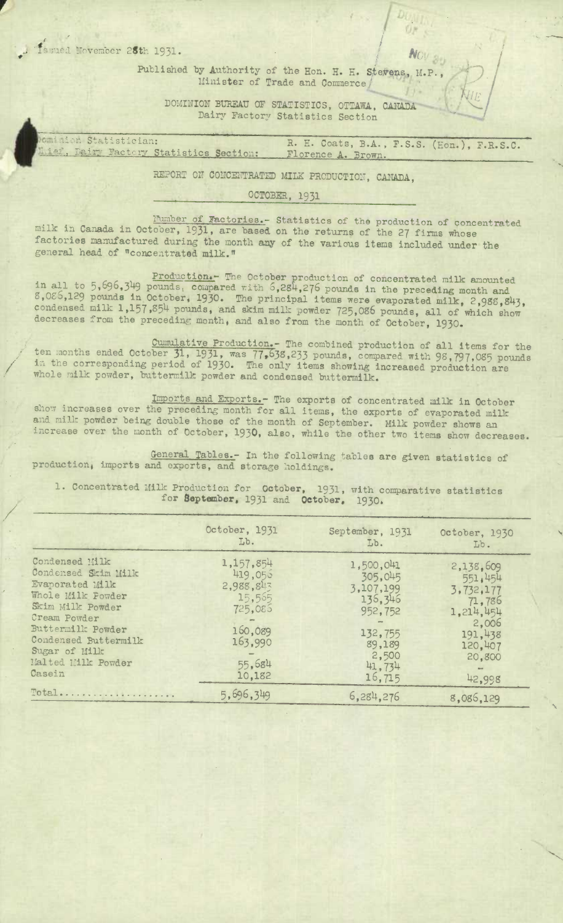Issued November 25th 1931.

/

Sth 1931. WOW Authority of the Hon. H. H. Stevens, M.P., Minister of Trade and Commerce/

DOMINION BUREAU OF STATISTICS, OTTAWA, CANADA **Direkto to STATISTICS, OTTAWA, CA.**<br>Dairy Factory Statistics Section

DOMINION BUREAU OF STATISTICS, OTTAWA, CANADA<br>Dairy Factory Statistics Section<br>R. H. Coats, B.A., F.S.S. (Hon.), F.R.S.C.<br>REPORT ON CONCENTRATED MILK PRODUCTION, CANADA, an Statistician: Factory Statistics Section: F.Coats, B.A., F.S.S. (Hon.), F.R.S.C.

REPORT ON CONCENTRATED MILK PRODUCTION, CANADA,

OCTOBER, 1931

Turnber of Factories.- Statistics of the production of concentrated milk in Canada in October, 1931, are based on the returns of the 27 firms whose factories manufactured during the month **any** of the various Items included under the general head of "concentrated milk."

Production.- The October production of concentrated milk amounted<br>in all to 5,696,349 pounds, compared with 5,284,276 pounds in the preceding month and 8,085,129 pounds in October, 1930. The principal items were evaporated milk, 2,988,843, condensed milk 1,157,854 pounds, and skim milk powder 725,086 pounds, all of which show decreases from the preceding month, and also from the month of October, 1930-

Cumulative Production.- The combined production of all items for the ten months ended October 31, 1931, was 77, 638, 233 pounds, compared with 98, 797, 085 pounds<br>in the corresponding period of 1930. The only items showing increased production are<br>whole milk powder, buttermilk powder and co

Imports and. Exports.- The exports of concentrated **milk In October**  show increases over the preceding month for all items, the exports of evaporated milk and milk powder being double those of the month of September. Milk powder shows an increase over the month of October, 1930, also, while the other two items show decreases.

General Tables.- In the following tables are given statistics of production, imports and exports, and storage holdings.

1. Concentrated Milk Production for October, 1931, with comparative statistics for September, 1931 and October. 1930.

|                                                                                                                                                                                                                 | October, 1931<br>Lb.                                                                             | September, 1931<br>Lb.                                                                                     | October, 1930<br>Lb.                                                                                        |
|-----------------------------------------------------------------------------------------------------------------------------------------------------------------------------------------------------------------|--------------------------------------------------------------------------------------------------|------------------------------------------------------------------------------------------------------------|-------------------------------------------------------------------------------------------------------------|
| Condensed Milk<br>Condensed Skim Milk<br>Evaporated Milk<br>Whole Milk Powder<br>Skim Milk Powder<br>Cream Powder<br>Buttermilk Powder<br>Condensed Buttermilk<br>Sugar of Milk<br>Malted Milk Powder<br>Casein | 1,157,854<br>419,056<br>2,988,843<br>15,565<br>725,085<br>160,089<br>163,990<br>55,684<br>10,182 | 1,500,041<br>305,045<br>3,107,199<br>135,346<br>952,752<br>132,755<br>89,189<br>2,500<br>41,734<br>16, 715 | 2,138,609<br>551,454<br>3,732,177<br>71,786<br>1,214,454<br>2,006<br>191,438<br>120,407<br>20,800<br>42,998 |
| Total                                                                                                                                                                                                           | 5,696,349                                                                                        | 6,284,276                                                                                                  | 8,086,129                                                                                                   |

**10**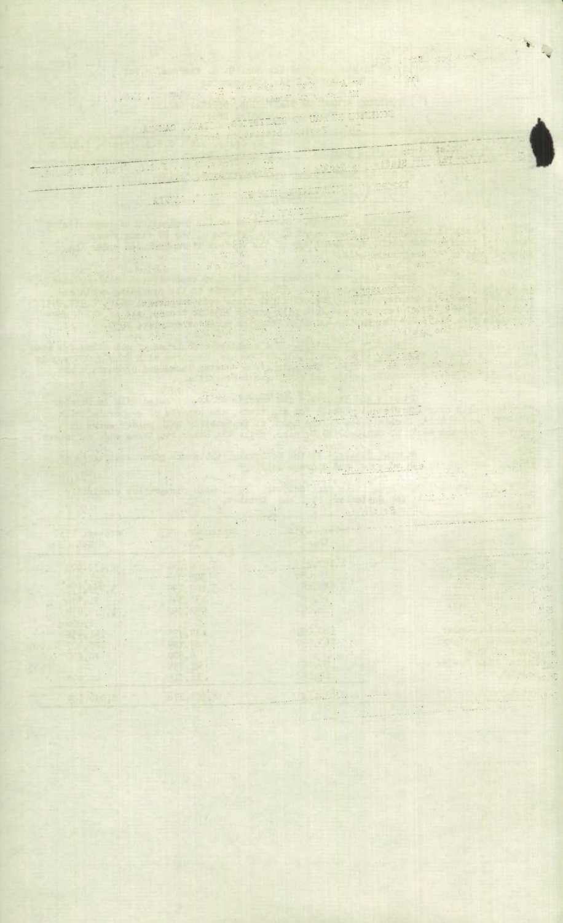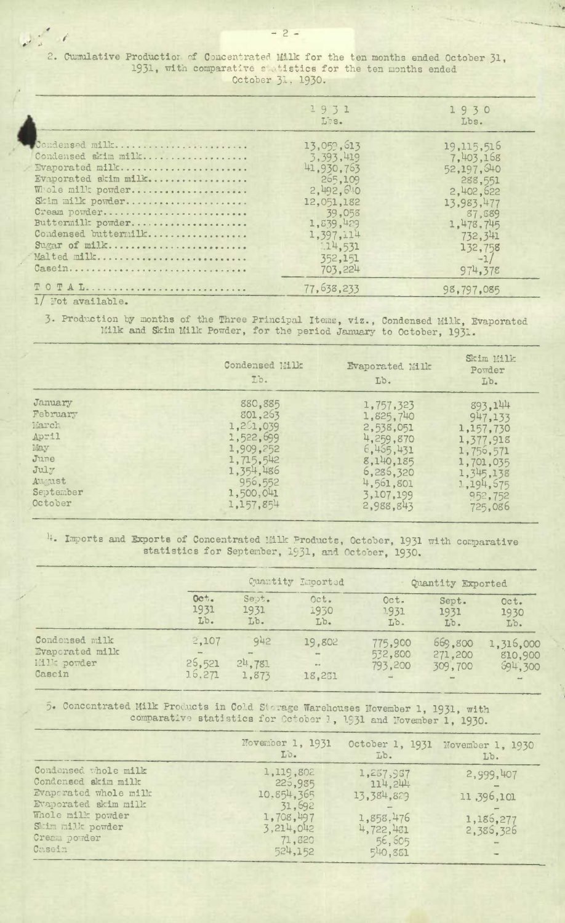$-2-$ 

| Condensed milk<br>Condensed skim milk<br>Evaporated milk<br>Evaporated skim milk<br>Whole milk powder                   | 1931<br>Les.                                                                                                                                       | 1930<br>Lbs.                                                                                                                                      |
|-------------------------------------------------------------------------------------------------------------------------|----------------------------------------------------------------------------------------------------------------------------------------------------|---------------------------------------------------------------------------------------------------------------------------------------------------|
|                                                                                                                         |                                                                                                                                                    |                                                                                                                                                   |
| Skim milk powder<br>Cream powder<br>Buttermilk powder<br>Condensed buttermilk<br>Sugar of milk<br>Malted milk<br>Casein | 13.059.613<br>3, 393, 419<br>41.930.763<br>265,109<br>2.492.610<br>12,051,182<br>39,058<br>1,839,429<br>1,397,114<br>114,531<br>352,151<br>703,224 | 19, 115, 516<br>7,403,168<br>52,197.640<br>288,551<br>2,402,622<br>13,983,477<br>87,889<br>1, 478, 745<br>732, 341<br>132,758<br>$-1/$<br>974,378 |
| TO TAL<br>$1/\pi$                                                                                                       | 77, 638, 233                                                                                                                                       | 98,797,085                                                                                                                                        |

3. Production by months of the Three Principal Items, viz., Condensed Milk, Evaporated Milk and Skim Milk Powder, for the period January to October, 1931.

|           | Condensed Milk<br>Lb. | Evaporated Milk<br>Lb. | Skim Milk<br>Powder<br>Lb. |
|-----------|-----------------------|------------------------|----------------------------|
| January   | 880,885               | 1,757,323              | 893.144                    |
| February  | 801,263               | 1,825,740              | 947,133                    |
| March     | 1,261,039             | 2,538,051              | 1,157,730                  |
| April     | 1,522,699             | 4,259,870              | 1,377,918                  |
| May       | 1,909,252             | 6,455,431              | 1,756,571                  |
| June      | 1, 715, 542           | 8,140,185              | 1,701,035                  |
| July      | 1, 354, 486           | 6,285,320              | 1, 345, 138                |
| August    | 956,552               | 4,561,801              | 1,194,575                  |
| September | 1,500,041             | 3,107,199              | 952,752                    |
| October   | 1,157,854             | 2,988,843              | 725,086                    |

4. Imports and Exports of Concentrated Hilk Products, October, 1931 with comparative statistics for September, 1931, and October, 1930.

|                                                                   |                           | Quantity Lmoorted      |                                                 | Quantity Exported             |                               |                                 |
|-------------------------------------------------------------------|---------------------------|------------------------|-------------------------------------------------|-------------------------------|-------------------------------|---------------------------------|
|                                                                   | Oct.<br>1931<br>Lb.       | Sept.<br>1931<br>Lb.   | Oct.<br>1930<br>Lb.                             | Oct.<br>1931<br>Lb.           | Sept.<br>1931<br>Lb.          | Oct.<br>1930<br>Lb.             |
| Condensed milk<br>Evaporated milk<br><b>Hilk</b> powder<br>Cascin | 2,107<br>25,521<br>16,271 | 942<br>24,781<br>1,873 | 19,802<br>$m_{\rm H}$<br><b>Dist.</b><br>18,231 | 775,900<br>532,800<br>793,200 | 669.800<br>271,200<br>309,700 | 1,316,000<br>810,900<br>594,300 |

5. Concentrated Milk Products in Cold Starage Warehouses November 1, 1931, with comparative statistics for October 1, 1931 and November 1, 1930.

|                                                                                                                                                                 | November 1, 1931<br>$\mathbf{Do}$ .                                                         | Lb.                                                                               | October 1, 1931 November 1, 1930<br>Lb.           |
|-----------------------------------------------------------------------------------------------------------------------------------------------------------------|---------------------------------------------------------------------------------------------|-----------------------------------------------------------------------------------|---------------------------------------------------|
| Condensed whole milk<br>Condensed skim milk<br>Evaperated whole milk<br>Evaporated skim milk<br>Whole milk powder<br>Stim milk powder<br>Cream powder<br>Casein | 1,119,802<br>225,985<br>10.854,365<br>31,692<br>1,708,497<br>3,214.042<br>71,820<br>524,152 | 1,257,957<br>114.244<br>13,384,823<br>1,858,476<br>4,722,431<br>56,505<br>540.851 | 2,999,407<br>11,396,101<br>1,186,277<br>2.386.326 |